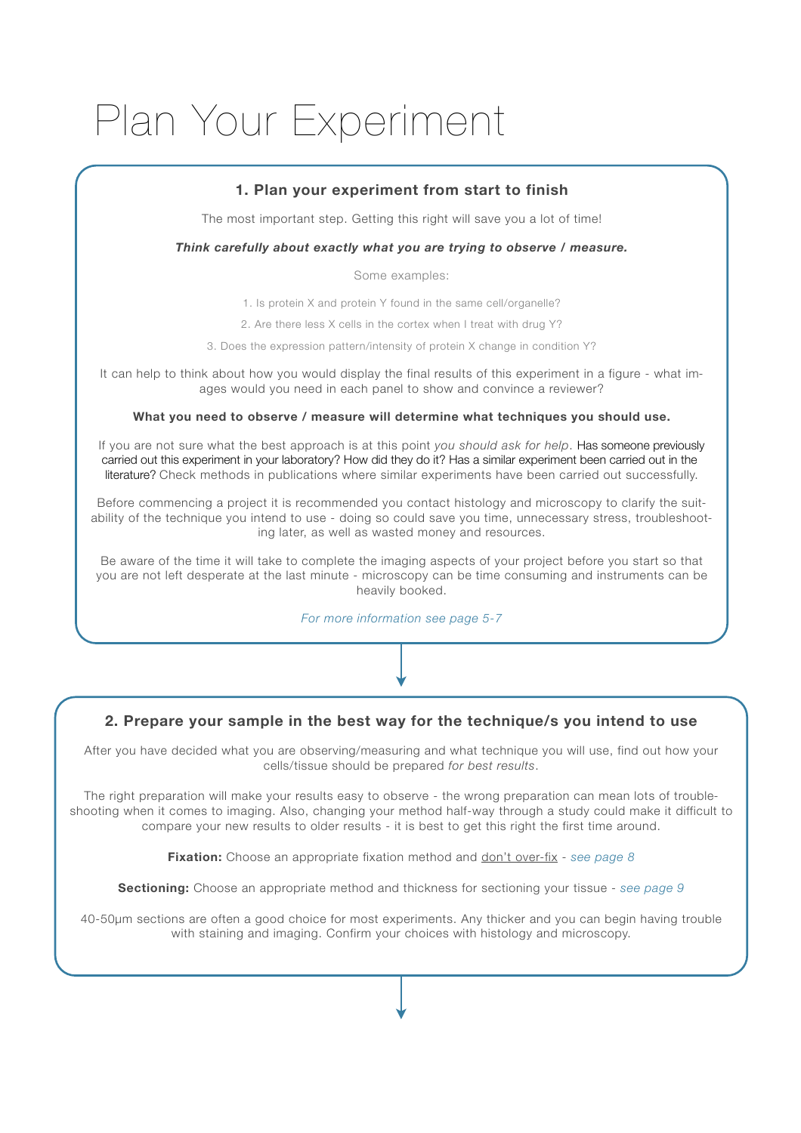# Plan Your Experiment

## **1. Plan your experiment from start to finish**

The most important step. Getting this right will save you a lot of time!

#### *Think carefully about exactly what you are trying to observe / measure.*

Some examples:

1. Is protein X and protein Y found in the same cell/organelle?

2. Are there less X cells in the cortex when I treat with drug Y?

3. Does the expression pattern/intensity of protein X change in condition Y?

It can help to think about how you would display the final results of this experiment in a figure - what images would you need in each panel to show and convince a reviewer?

#### **What you need to observe / measure will determine what techniques you should use.**

If you are not sure what the best approach is at this point *you should ask for help*. Has someone previously carried out this experiment in your laboratory? How did they do it? Has a similar experiment been carried out in the literature? Check methods in publications where similar experiments have been carried out successfully.

Before commencing a project it is recommended you contact histology and microscopy to clarify the suitability of the technique you intend to use - doing so could save you time, unnecessary stress, troubleshooting later, as well as wasted money and resources.

Be aware of the time it will take to complete the imaging aspects of your project before you start so that you are not left desperate at the last minute - microscopy can be time consuming and instruments can be heavily booked.

*For more information see page 5-7*

#### **2. Prepare your sample in the best way for the technique/s you intend to use**

After you have decided what you are observing/measuring and what technique you will use, find out how your cells/tissue should be prepared *for best results*.

The right preparation will make your results easy to observe - the wrong preparation can mean lots of troubleshooting when it comes to imaging. Also, changing your method half-way through a study could make it difficult to compare your new results to older results - it is best to get this right the first time around.

**Fixation:** Choose an appropriate fixation method and don't over-fix - *see page 8*

**Sectioning:** Choose an appropriate method and thickness for sectioning your tissue - *see page 9*

40-50µm sections are often a good choice for most experiments. Any thicker and you can begin having trouble with staining and imaging. Confirm your choices with histology and microscopy.